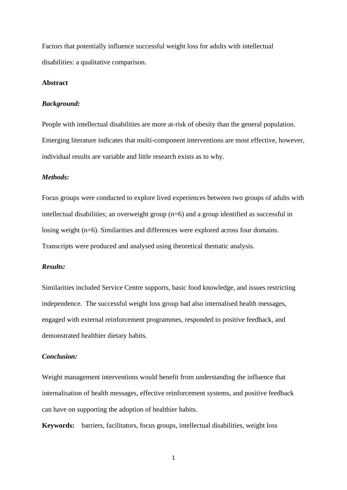Factors that potentially influence successful weight loss for adults with intellectual disabilities: a qualitative comparison.

## **Abstract**

## *Background:*

People with intellectual disabilities are more at-risk of obesity than the general population. Emerging literature indicates that multi-component interventions are most effective, however, individual results are variable and little research exists as to why.

## *Methods:*

Focus groups were conducted to explore lived experiences between two groups of adults with intellectual disabilities; an overweight group (n=6) and a group identified as successful in losing weight (n=6). Similarities and differences were explored across four domains. Transcripts were produced and analysed using theoretical thematic analysis.

## *Results:*

Similarities included Service Centre supports, basic food knowledge, and issues restricting independence. The successful weight loss group had also internalised health messages, engaged with external reinforcement programmes, responded to positive feedback, and demonstrated healthier dietary habits.

## *Conclusion:*

Weight management interventions would benefit from understanding the influence that internalisation of health messages, effective reinforcement systems, and positive feedback can have on supporting the adoption of healthier habits.

**Keywords:** barriers, facilitators, focus groups, intellectual disabilities, weight loss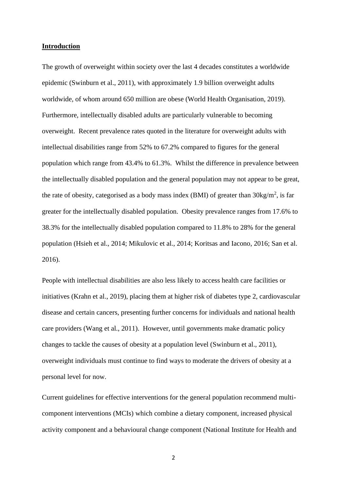## **Introduction**

The growth of overweight within society over the last 4 decades constitutes a worldwide epidemic (Swinburn et al., 2011), with approximately 1.9 billion overweight adults worldwide, of whom around 650 million are obese (World Health Organisation, 2019). Furthermore, intellectually disabled adults are particularly vulnerable to becoming overweight. Recent prevalence rates quoted in the literature for overweight adults with intellectual disabilities range from 52% to 67.2% compared to figures for the general population which range from 43.4% to 61.3%. Whilst the difference in prevalence between the intellectually disabled population and the general population may not appear to be great, the rate of obesity, categorised as a body mass index (BMI) of greater than  $30\text{kg/m}^2$ , is far greater for the intellectually disabled population. Obesity prevalence ranges from 17.6% to 38.3% for the intellectually disabled population compared to 11.8% to 28% for the general population (Hsieh et al., 2014; Mikulovic et al., 2014; Koritsas and Iacono, 2016; San et al. 2016).

People with intellectual disabilities are also less likely to access health care facilities or initiatives (Krahn et al., 2019), placing them at higher risk of diabetes type 2, cardiovascular disease and certain cancers, presenting further concerns for individuals and national health care providers (Wang et al., 2011). However, until governments make dramatic policy changes to tackle the causes of obesity at a population level (Swinburn et al., 2011), overweight individuals must continue to find ways to moderate the drivers of obesity at a personal level for now.

Current guidelines for effective interventions for the general population recommend multicomponent interventions (MCIs) which combine a dietary component, increased physical activity component and a behavioural change component (National Institute for Health and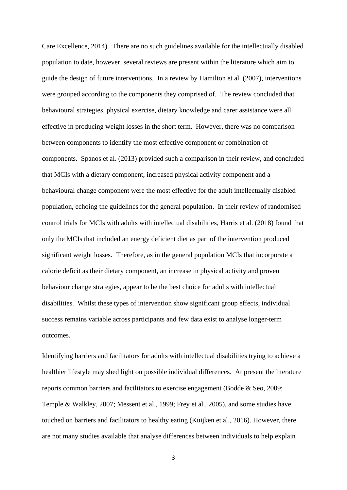Care Excellence, 2014). There are no such guidelines available for the intellectually disabled population to date, however, several reviews are present within the literature which aim to guide the design of future interventions. In a review by Hamilton et al. (2007), interventions were grouped according to the components they comprised of. The review concluded that behavioural strategies, physical exercise, dietary knowledge and carer assistance were all effective in producing weight losses in the short term. However, there was no comparison between components to identify the most effective component or combination of components. Spanos et al. (2013) provided such a comparison in their review, and concluded that MCIs with a dietary component, increased physical activity component and a behavioural change component were the most effective for the adult intellectually disabled population, echoing the guidelines for the general population. In their review of randomised control trials for MCIs with adults with intellectual disabilities, Harris et al. (2018) found that only the MCIs that included an energy deficient diet as part of the intervention produced significant weight losses. Therefore, as in the general population MCIs that incorporate a calorie deficit as their dietary component, an increase in physical activity and proven behaviour change strategies, appear to be the best choice for adults with intellectual disabilities. Whilst these types of intervention show significant group effects, individual success remains variable across participants and few data exist to analyse longer-term outcomes.

Identifying barriers and facilitators for adults with intellectual disabilities trying to achieve a healthier lifestyle may shed light on possible individual differences. At present the literature reports common barriers and facilitators to exercise engagement (Bodde & Seo, 2009; Temple & Walkley, 2007; Messent et al., 1999; Frey et al., 2005), and some studies have touched on barriers and facilitators to healthy eating (Kuijken et al., 2016). However, there are not many studies available that analyse differences between individuals to help explain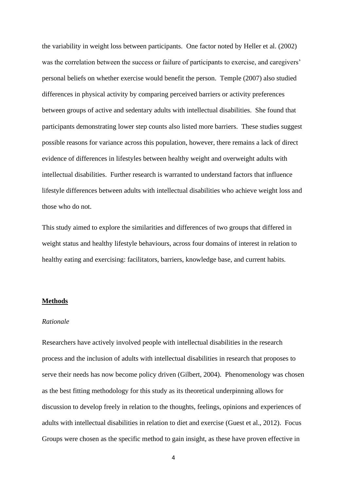the variability in weight loss between participants. One factor noted by Heller et al. (2002) was the correlation between the success or failure of participants to exercise, and caregivers' personal beliefs on whether exercise would benefit the person. Temple (2007) also studied differences in physical activity by comparing perceived barriers or activity preferences between groups of active and sedentary adults with intellectual disabilities. She found that participants demonstrating lower step counts also listed more barriers. These studies suggest possible reasons for variance across this population, however, there remains a lack of direct evidence of differences in lifestyles between healthy weight and overweight adults with intellectual disabilities. Further research is warranted to understand factors that influence lifestyle differences between adults with intellectual disabilities who achieve weight loss and those who do not.

This study aimed to explore the similarities and differences of two groups that differed in weight status and healthy lifestyle behaviours, across four domains of interest in relation to healthy eating and exercising: facilitators, barriers, knowledge base, and current habits.

#### **Methods**

#### *Rationale*

Researchers have actively involved people with intellectual disabilities in the research process and the inclusion of adults with intellectual disabilities in research that proposes to serve their needs has now become policy driven (Gilbert, 2004). Phenomenology was chosen as the best fitting methodology for this study as its theoretical underpinning allows for discussion to develop freely in relation to the thoughts, feelings, opinions and experiences of adults with intellectual disabilities in relation to diet and exercise (Guest et al., 2012). Focus Groups were chosen as the specific method to gain insight, as these have proven effective in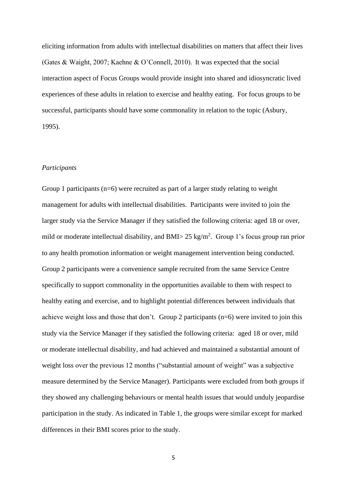eliciting information from adults with intellectual disabilities on matters that affect their lives (Gates & Waight, 2007; Kaehne & O'Connell, 2010). It was expected that the social interaction aspect of Focus Groups would provide insight into shared and idiosyncratic lived experiences of these adults in relation to exercise and healthy eating. For focus groups to be successful, participants should have some commonality in relation to the topic (Asbury, 1995).

#### *Participants*

Group 1 participants ( $n=6$ ) were recruited as part of a larger study relating to weight management for adults with intellectual disabilities. Participants were invited to join the larger study via the Service Manager if they satisfied the following criteria: aged 18 or over, mild or moderate intellectual disability, and BMI $>$  25 kg/m<sup>2</sup>. Group 1's focus group ran prior to any health promotion information or weight management intervention being conducted. Group 2 participants were a convenience sample recruited from the same Service Centre specifically to support commonality in the opportunities available to them with respect to healthy eating and exercise, and to highlight potential differences between individuals that achieve weight loss and those that don't. Group 2 participants (n=6) were invited to join this study via the Service Manager if they satisfied the following criteria: aged 18 or over, mild or moderate intellectual disability, and had achieved and maintained a substantial amount of weight loss over the previous 12 months ("substantial amount of weight" was a subjective measure determined by the Service Manager). Participants were excluded from both groups if they showed any challenging behaviours or mental health issues that would unduly jeopardise participation in the study. As indicated in Table 1, the groups were similar except for marked differences in their BMI scores prior to the study.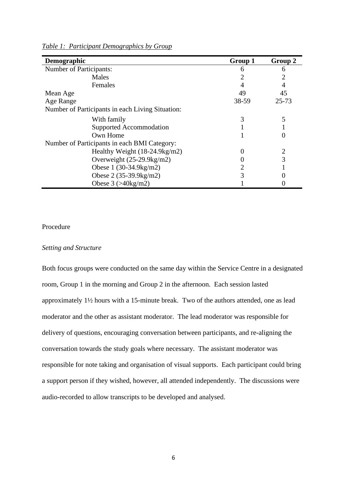| Demographic                                      | Group 1      | Group 2   |
|--------------------------------------------------|--------------|-----------|
| <b>Number of Participants:</b>                   | 6            | 6         |
| Males                                            |              |           |
| Females                                          |              |           |
| Mean Age                                         | 49           | 45        |
| Age Range                                        | 38-59        | $25 - 73$ |
| Number of Participants in each Living Situation: |              |           |
| With family                                      | 3            | 5         |
| Supported Accommodation                          |              |           |
| Own Home                                         |              |           |
| Number of Participants in each BMI Category:     |              |           |
| Healthy Weight $(18-24.9kg/m2)$                  | $\mathbf{0}$ | 2         |
| Overweight $(25-29.9 \text{kg/m2})$              |              | 3         |
| Obese $1(30-34.9kg/m2)$                          |              |           |
| Obese $2(35-39.9kg/m2)$                          | 3            |           |
| Obese $3 \left( > 40 \text{kg/m2} \right)$       |              |           |

*Table 1: Participant Demographics by Group*

# Procedure

## *Setting and Structure*

Both focus groups were conducted on the same day within the Service Centre in a designated room, Group 1 in the morning and Group 2 in the afternoon. Each session lasted approximately 1½ hours with a 15-minute break. Two of the authors attended, one as lead moderator and the other as assistant moderator. The lead moderator was responsible for delivery of questions, encouraging conversation between participants, and re-aligning the conversation towards the study goals where necessary. The assistant moderator was responsible for note taking and organisation of visual supports. Each participant could bring a support person if they wished, however, all attended independently. The discussions were audio-recorded to allow transcripts to be developed and analysed.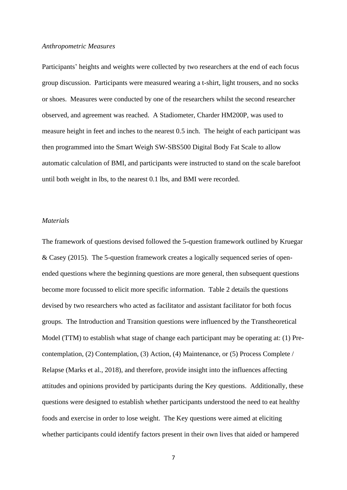## *Anthropometric Measures*

Participants' heights and weights were collected by two researchers at the end of each focus group discussion. Participants were measured wearing a t-shirt, light trousers, and no socks or shoes. Measures were conducted by one of the researchers whilst the second researcher observed, and agreement was reached. A Stadiometer, Charder HM200P, was used to measure height in feet and inches to the nearest 0.5 inch. The height of each participant was then programmed into the Smart Weigh SW-SBS500 Digital Body Fat Scale to allow automatic calculation of BMI, and participants were instructed to stand on the scale barefoot until both weight in lbs, to the nearest 0.1 lbs, and BMI were recorded.

## *Materials*

The framework of questions devised followed the 5-question framework outlined by Kruegar & Casey (2015). The 5-question framework creates a logically sequenced series of openended questions where the beginning questions are more general, then subsequent questions become more focussed to elicit more specific information. Table 2 details the questions devised by two researchers who acted as facilitator and assistant facilitator for both focus groups. The Introduction and Transition questions were influenced by the Transtheoretical Model (TTM) to establish what stage of change each participant may be operating at: (1) Precontemplation, (2) Contemplation, (3) Action, (4) Maintenance, or (5) Process Complete / Relapse (Marks et al., 2018), and therefore, provide insight into the influences affecting attitudes and opinions provided by participants during the Key questions. Additionally, these questions were designed to establish whether participants understood the need to eat healthy foods and exercise in order to lose weight. The Key questions were aimed at eliciting whether participants could identify factors present in their own lives that aided or hampered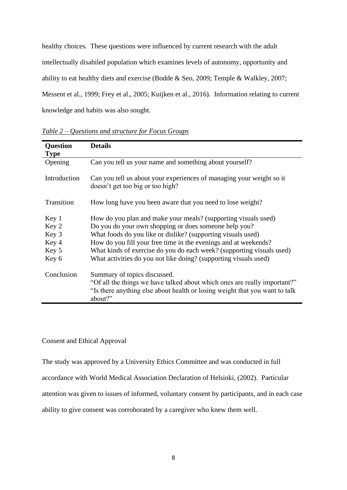healthy choices. These questions were influenced by current research with the adult intellectually disabiled population which examines levels of autonomy, opportunity and ability to eat healthy diets and exercise (Bodde & Seo, 2009; Temple & Walkley, 2007; Messent et al., 1999; Frey et al., 2005; Kuijken et al., 2016). Information relating to current knowledge and habits was also sought.

| <b>Question</b> | <b>Details</b>                                                                                           |
|-----------------|----------------------------------------------------------------------------------------------------------|
| <b>Type</b>     |                                                                                                          |
| Opening         | Can you tell us your name and something about yourself?                                                  |
| Introduction    | Can you tell us about your experiences of managing your weight so it<br>doesn't get too big or too high? |
| Transition      | How long have you been aware that you need to lose weight?                                               |
| Key 1           | How do you plan and make your meals? (supporting visuals used)                                           |
| Key 2           | Do you do your own shopping or does someone help you?                                                    |
| Key 3           | What foods do you like or dislike? (supporting visuals used)                                             |
| Key 4           | How do you fill your free time in the evenings and at weekends?                                          |
| Key 5           | What kinds of exercise do you do each week? (supporting visuals used)                                    |
| Key 6           | What activities do you not like doing? (supporting visuals used)                                         |
| Conclusion      | Summary of topics discussed.                                                                             |
|                 | "Of all the things we have talked about which ones are really important?"                                |
|                 | "Is there anything else about health or losing weight that you want to talk<br>about?"                   |

*Table 2 – Questions and structure for Focus Groups*

## Consent and Ethical Approval

The study was approved by a University Ethics Committee and was conducted in full

accordance with World Medical Association Declaration of Helsinki, (2002). Particular

attention was given to issues of informed, voluntary consent by participants, and in each case

ability to give consent was corroborated by a caregiver who knew them well.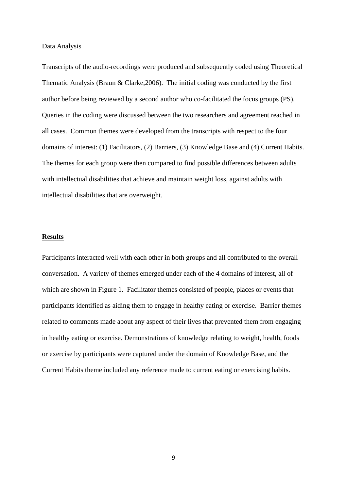Data Analysis

Transcripts of the audio-recordings were produced and subsequently coded using Theoretical Thematic Analysis (Braun & Clarke,2006). The initial coding was conducted by the first author before being reviewed by a second author who co-facilitated the focus groups (PS). Queries in the coding were discussed between the two researchers and agreement reached in all cases. Common themes were developed from the transcripts with respect to the four domains of interest: (1) Facilitators, (2) Barriers, (3) Knowledge Base and (4) Current Habits. The themes for each group were then compared to find possible differences between adults with intellectual disabilities that achieve and maintain weight loss, against adults with intellectual disabilities that are overweight.

#### **Results**

Participants interacted well with each other in both groups and all contributed to the overall conversation. A variety of themes emerged under each of the 4 domains of interest, all of which are shown in Figure 1. Facilitator themes consisted of people, places or events that participants identified as aiding them to engage in healthy eating or exercise. Barrier themes related to comments made about any aspect of their lives that prevented them from engaging in healthy eating or exercise. Demonstrations of knowledge relating to weight, health, foods or exercise by participants were captured under the domain of Knowledge Base, and the Current Habits theme included any reference made to current eating or exercising habits.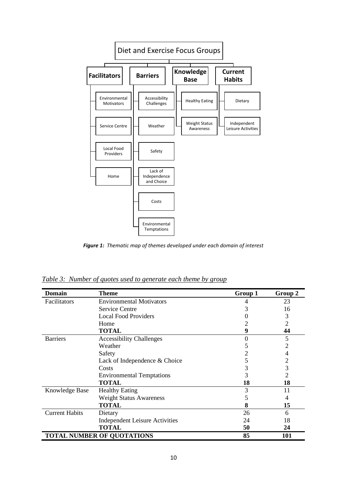

*Figure 1: Thematic map of themes developed under each domain of interest*

*Table 3: Number of quotes used to generate each theme by group*

| <b>Domain</b>         | <b>Theme</b>                          | Group 1 | Group 2 |
|-----------------------|---------------------------------------|---------|---------|
| Facilitators          | <b>Environmental Motivators</b>       | 4       | 23      |
|                       | <b>Service Centre</b>                 | 3       | 16      |
|                       | <b>Local Food Providers</b>           |         | 3       |
|                       | Home                                  |         | 2       |
|                       | <b>TOTAL</b>                          | 9       | 44      |
| <b>Barriers</b>       | <b>Accessibility Challenges</b>       | 0       | 5       |
|                       | Weather                               |         |         |
|                       | Safety                                | 2       | 4       |
|                       | Lack of Independence & Choice         | 5       | 2       |
|                       | Costs                                 | 3       | 3       |
|                       | <b>Environmental Temptations</b>      | 3       | 2       |
|                       | <b>TOTAL</b>                          | 18      | 18      |
| Knowledge Base        | <b>Healthy Eating</b>                 | 3       | 11      |
|                       | <b>Weight Status Awareness</b>        |         | 4       |
|                       | <b>TOTAL</b>                          | 8       | 15      |
| <b>Current Habits</b> | Dietary                               | 26      | 6       |
|                       | <b>Independent Leisure Activities</b> | 24      | 18      |
|                       | <b>TOTAL</b>                          | 50      | 24      |
|                       | <b>TOTAL NUMBER OF QUOTATIONS</b>     | 85      | 101     |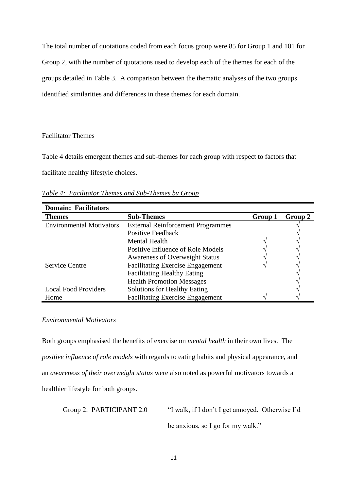The total number of quotations coded from each focus group were 85 for Group 1 and 101 for Group 2, with the number of quotations used to develop each of the themes for each of the groups detailed in Table 3. A comparison between the thematic analyses of the two groups identified similarities and differences in these themes for each domain.

Facilitator Themes

Table 4 details emergent themes and sub-themes for each group with respect to factors that facilitate healthy lifestyle choices.

*Table 4: Facilitator Themes and Sub-Themes by Group* 

| <b>Domain: Facilitators</b>     |                                          |         |         |
|---------------------------------|------------------------------------------|---------|---------|
| <b>Themes</b>                   | <b>Sub-Themes</b>                        | Group 1 | Group 2 |
| <b>Environmental Motivators</b> | <b>External Reinforcement Programmes</b> |         |         |
|                                 | Positive Feedback                        |         |         |
|                                 | <b>Mental Health</b>                     |         |         |
|                                 | Positive Influence of Role Models        |         |         |
|                                 | <b>Awareness of Overweight Status</b>    |         |         |
| <b>Service Centre</b>           | <b>Facilitating Exercise Engagement</b>  |         |         |
|                                 | <b>Facilitating Healthy Eating</b>       |         |         |
|                                 | <b>Health Promotion Messages</b>         |         |         |
| <b>Local Food Providers</b>     | <b>Solutions for Healthy Eating</b>      |         |         |
| Home                            | <b>Facilitating Exercise Engagement</b>  |         |         |

## *Environmental Motivators*

Both groups emphasised the benefits of exercise on *mental health* in their own lives. The *positive influence of role models* with regards to eating habits and physical appearance, and an *awareness of their overweight status* were also noted as powerful motivators towards a healthier lifestyle for both groups.

Group 2: PARTICIPANT 2.0 "I walk, if I don't I get annoyed. Otherwise I'd

be anxious, so I go for my walk."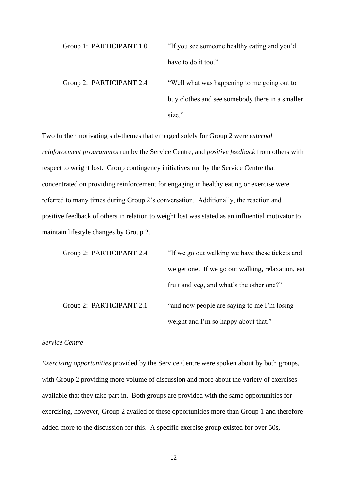Group 1: PARTICIPANT 1.0 "If you see someone healthy eating and you'd have to do it too." Group 2: PARTICIPANT 2.4 "Well what was happening to me going out to buy clothes and see somebody there in a smaller size."

Two further motivating sub-themes that emerged solely for Group 2 were *external reinforcement programmes* run by the Service Centre, and *positive feedback* from others with respect to weight lost. Group contingency initiatives run by the Service Centre that concentrated on providing reinforcement for engaging in healthy eating or exercise were referred to many times during Group 2's conversation. Additionally, the reaction and positive feedback of others in relation to weight lost was stated as an influential motivator to maintain lifestyle changes by Group 2.

| Group 2: PARTICIPANT 2.4 | "If we go out walking we have these tickets and   |
|--------------------------|---------------------------------------------------|
|                          | we get one. If we go out walking, relaxation, eat |
|                          | fruit and veg, and what's the other one?"         |
| Group 2: PARTICIPANT 2.1 | "and now people are saying to me I'm losing"      |
|                          | weight and I'm so happy about that."              |

## *Service Centre*

*Exercising opportunities* provided by the Service Centre were spoken about by both groups, with Group 2 providing more volume of discussion and more about the variety of exercises available that they take part in. Both groups are provided with the same opportunities for exercising, however, Group 2 availed of these opportunities more than Group 1 and therefore added more to the discussion for this. A specific exercise group existed for over 50s,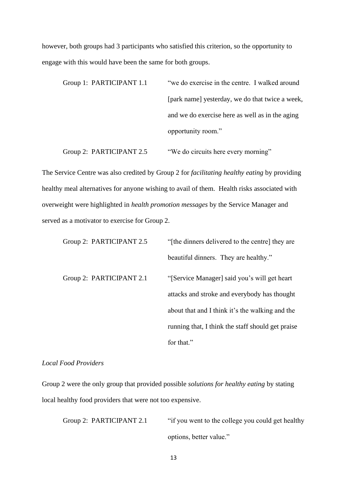however, both groups had 3 participants who satisfied this criterion, so the opportunity to engage with this would have been the same for both groups.

| Group 1: PARTICIPANT 1.1 | "we do exercise in the centre. I walked around  |
|--------------------------|-------------------------------------------------|
|                          | [park name] yesterday, we do that twice a week, |
|                          | and we do exercise here as well as in the aging |
|                          | opportunity room."                              |
|                          |                                                 |

Group 2: PARTICIPANT 2.5 "We do circuits here every morning"

The Service Centre was also credited by Group 2 for *facilitating healthy eating* by providing healthy meal alternatives for anyone wishing to avail of them. Health risks associated with overweight were highlighted in *health promotion messages* by the Service Manager and served as a motivator to exercise for Group 2.

| Group 2: PARTICIPANT 2.5 | "[the dinners delivered to the centre] they are   |
|--------------------------|---------------------------------------------------|
|                          | beautiful dinners. They are healthy."             |
| Group 2: PARTICIPANT 2.1 | "[Service Manager] said you's will get heart      |
|                          | attacks and stroke and everybody has thought      |
|                          | about that and I think it's the walking and the   |
|                          | running that, I think the staff should get praise |
|                          | for that."                                        |

# *Local Food Providers*

Group 2 were the only group that provided possible *solutions for healthy eating* by stating local healthy food providers that were not too expensive.

Group 2: PARTICIPANT 2.1 "if you went to the college you could get healthy options, better value."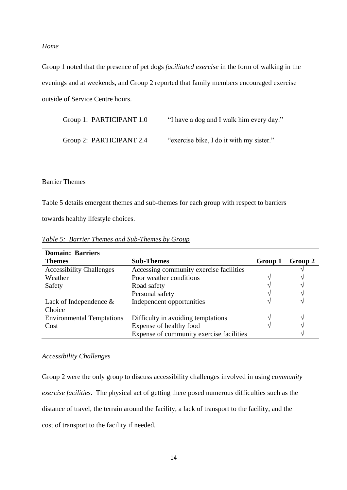#### *Home*

Group 1 noted that the presence of pet dogs *facilitated exercise* in the form of walking in the evenings and at weekends, and Group 2 reported that family members encouraged exercise outside of Service Centre hours.

| Group 1: PARTICIPANT 1.0 | "I have a dog and I walk him every day." |
|--------------------------|------------------------------------------|
| Group 2: PARTICIPANT 2.4 | "exercise bike, I do it with my sister." |

## Barrier Themes

Table 5 details emergent themes and sub-themes for each group with respect to barriers

towards healthy lifestyle choices.

| <b>Domain: Barriers</b>          |                                          |         |                   |
|----------------------------------|------------------------------------------|---------|-------------------|
| <b>Themes</b>                    | <b>Sub-Themes</b>                        | Group 1 | Group 2           |
| <b>Accessibility Challenges</b>  | Accessing community exercise facilities  |         |                   |
| Weather                          | Poor weather conditions                  |         |                   |
| Safety                           | Road safety                              |         |                   |
|                                  | Personal safety                          |         |                   |
| Lack of Independence $\&$        | Independent opportunities                |         |                   |
| Choice                           |                                          |         |                   |
| <b>Environmental Temptations</b> | Difficulty in avoiding temptations       |         | $\mathbf \Lambda$ |
| Cost                             | Expense of healthy food                  |         |                   |
|                                  | Expense of community exercise facilities |         |                   |

*Table 5: Barrier Themes and Sub-Themes by Group* 

## *Accessibility Challenges*

Group 2 were the only group to discuss accessibility challenges involved in using *community exercise facilities*. The physical act of getting there posed numerous difficulties such as the distance of travel, the terrain around the facility, a lack of transport to the facility, and the cost of transport to the facility if needed.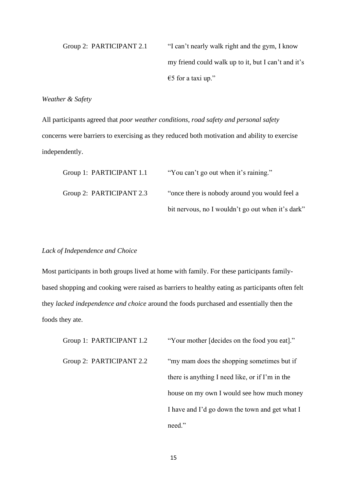Group 2: PARTICIPANT 2.1 "I can't nearly walk right and the gym, I know my friend could walk up to it, but I can't and it's €5 for a taxi up."

# *Weather & Safety*

All participants agreed that *poor weather conditions*, *road safety and personal safety* concerns were barriers to exercising as they reduced both motivation and ability to exercise independently.

| Group 1: PARTICIPANT 1.1 | "You can't go out when it's raining."             |
|--------------------------|---------------------------------------------------|
| Group 2: PARTICIPANT 2.3 | "once there is nobody around you would feel a     |
|                          | bit nervous, no I wouldn't go out when it's dark" |

## *Lack of Independence and Choice*

Most participants in both groups lived at home with family. For these participants familybased shopping and cooking were raised as barriers to healthy eating as participants often felt they *lacked independence and choice* around the foods purchased and essentially then the foods they ate.

Group 1: PARTICIPANT 1.2 "Your mother [decides on the food you eat]."

Group 2: PARTICIPANT 2.2 "my mam does the shopping sometimes but if there is anything I need like, or if I'm in the house on my own I would see how much money I have and I'd go down the town and get what I need."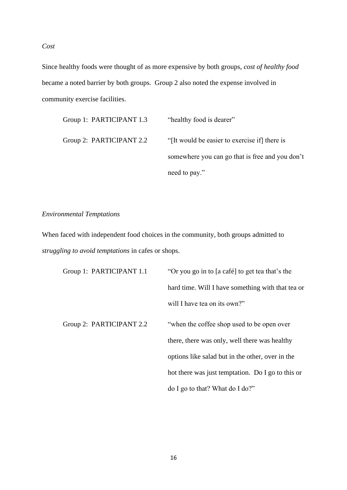*Cost*

Since healthy foods were thought of as more expensive by both groups, *cost of healthy food* became a noted barrier by both groups. Group 2 also noted the expense involved in community exercise facilities.

| Group 1: PARTICIPANT 1.3 | "healthy food is dearer"                        |
|--------------------------|-------------------------------------------------|
| Group 2: PARTICIPANT 2.2 | "[It would be easier to exercise if] there is   |
|                          | somewhere you can go that is free and you don't |
|                          | need to pay."                                   |

# *Environmental Temptations*

When faced with independent food choices in the community, both groups admitted to *struggling to avoid temptations* in cafes or shops.

| Group 1: PARTICIPANT 1.1 | "Or you go in to [a café] to get tea that's the   |
|--------------------------|---------------------------------------------------|
|                          | hard time. Will I have something with that tea or |
|                          | will I have tea on its own?"                      |
| Group 2: PARTICIPANT 2.2 | "when the coffee shop used to be open over        |
|                          | there, there was only, well there was healthy     |
|                          | options like salad but in the other, over in the  |
|                          | hot there was just temptation. Do I go to this or |
|                          | do I go to that? What do I do?"                   |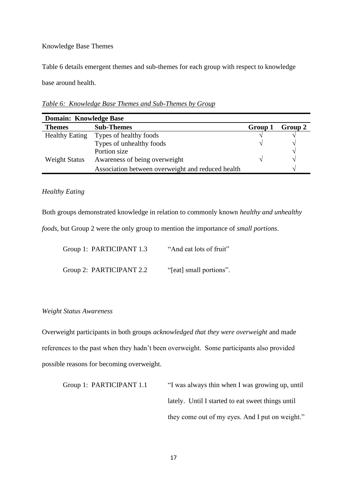## Knowledge Base Themes

Table 6 details emergent themes and sub-themes for each group with respect to knowledge base around health.

*Table 6: Knowledge Base Themes and Sub-Themes by Group* 

| <b>Domain: Knowledge Base</b> |                                                   |         |                             |
|-------------------------------|---------------------------------------------------|---------|-----------------------------|
| <b>Themes</b>                 | <b>Sub-Themes</b>                                 | Group 1 | Group 2                     |
| <b>Healthy Eating</b>         | Types of healthy foods                            |         |                             |
|                               | Types of unhealthy foods                          |         |                             |
|                               | Portion size                                      |         | $\mathcal{L}_{\mathcal{U}}$ |
| <b>Weight Status</b>          | Awareness of being overweight                     |         |                             |
|                               | Association between overweight and reduced health |         | ٦                           |

## *Healthy Eating*

Both groups demonstrated knowledge in relation to commonly known *healthy and unhealthy* 

*foods*, but Group 2 were the only group to mention the importance of *small portions*.

| Group 1: PARTICIPANT 1.3 | "And eat lots of fruit" |
|--------------------------|-------------------------|
| Group 2: PARTICIPANT 2.2 | "[eat] small portions". |

## *Weight Status Awareness*

Overweight participants in both groups *acknowledged that they were overweight* and made references to the past when they hadn't been overweight. Some participants also provided possible reasons for becoming overweight.

```
Group 1: PARTICIPANT 1.1 "I was always thin when I was growing up, until
                      lately. Until I started to eat sweet things until 
                      they come out of my eyes. And I put on weight."
```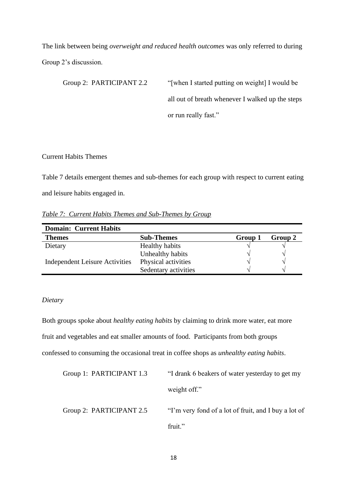The link between being *overweight and reduced health outcomes* was only referred to during Group 2's discussion.

Group 2: PARTICIPANT 2.2 "[when I started putting on weight] I would be all out of breath whenever I walked up the steps or run really fast."

## Current Habits Themes

Table 7 details emergent themes and sub-themes for each group with respect to current eating and leisure habits engaged in.

*Table 7: Current Habits Themes and Sub-Themes by Group* 

| <b>Domain: Current Habits</b>         |                       |         |               |  |
|---------------------------------------|-----------------------|---------|---------------|--|
| <b>Themes</b>                         | <b>Sub-Themes</b>     | Group 1 | Group 2       |  |
| Dietary                               | <b>Healthy habits</b> |         |               |  |
|                                       | Unhealthy habits      |         |               |  |
| <b>Independent Leisure Activities</b> | Physical activities   |         |               |  |
|                                       | Sedentary activities  |         | $\mathcal{N}$ |  |

## *Dietary*

Both groups spoke about *healthy eating habits* by claiming to drink more water, eat more fruit and vegetables and eat smaller amounts of food. Participants from both groups confessed to consuming the occasional treat in coffee shops as *unhealthy eating habits*.

| Group 1: PARTICIPANT 1.3 | "I drank 6 beakers of water yesterday to get my      |
|--------------------------|------------------------------------------------------|
|                          | weight off."                                         |
| Group 2: PARTICIPANT 2.5 | "I'm very fond of a lot of fruit, and I buy a lot of |
|                          | fruit."                                              |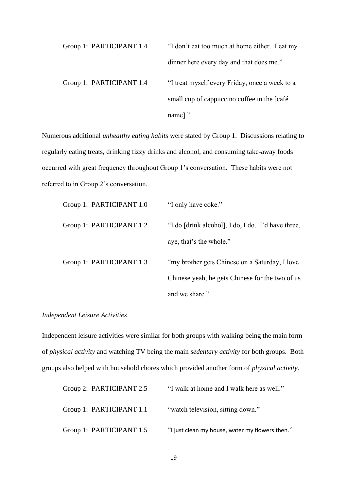Group 1: PARTICIPANT 1.4 "I don't eat too much at home either. I eat my dinner here every day and that does me." Group 1: PARTICIPANT 1.4 "I treat myself every Friday, once a week to a small cup of cappuccino coffee in the [café name]."

Numerous additional *unhealthy eating habits* were stated by Group 1. Discussions relating to regularly eating treats, drinking fizzy drinks and alcohol, and consuming take-away foods occurred with great frequency throughout Group 1's conversation. These habits were not referred to in Group 2's conversation.

| Group 1: PARTICIPANT 1.0 | "I only have coke."                                |
|--------------------------|----------------------------------------------------|
| Group 1: PARTICIPANT 1.2 | "I do [drink alcohol], I do, I do. I'd have three, |
|                          | aye, that's the whole."                            |
| Group 1: PARTICIPANT 1.3 | "my brother gets Chinese on a Saturday, I love"    |
|                          | Chinese yeah, he gets Chinese for the two of us    |
|                          | and we share."                                     |

## *Independent Leisure Activities*

Independent leisure activities were similar for both groups with walking being the main form of *physical activity* and watching TV being the main *sedentary activity* for both groups. Both groups also helped with household chores which provided another form of *physical activity*.

| Group 2: PARTICIPANT 2.5 | "I walk at home and I walk here as well."       |
|--------------------------|-------------------------------------------------|
| Group 1: PARTICIPANT 1.1 | "watch television, sitting down."               |
| Group 1: PARTICIPANT 1.5 | "I just clean my house, water my flowers then." |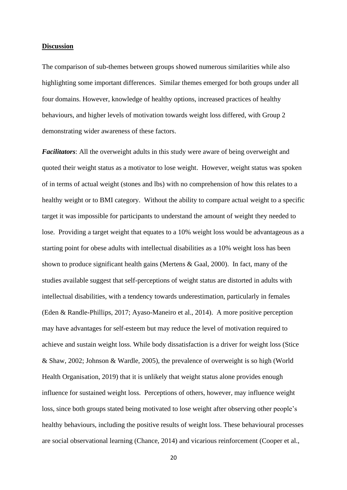#### **Discussion**

The comparison of sub-themes between groups showed numerous similarities while also highlighting some important differences. Similar themes emerged for both groups under all four domains. However, knowledge of healthy options, increased practices of healthy behaviours, and higher levels of motivation towards weight loss differed, with Group 2 demonstrating wider awareness of these factors.

*Facilitators*: All the overweight adults in this study were aware of being overweight and quoted their weight status as a motivator to lose weight. However, weight status was spoken of in terms of actual weight (stones and lbs) with no comprehension of how this relates to a healthy weight or to BMI category. Without the ability to compare actual weight to a specific target it was impossible for participants to understand the amount of weight they needed to lose. Providing a target weight that equates to a 10% weight loss would be advantageous as a starting point for obese adults with intellectual disabilities as a 10% weight loss has been shown to produce significant health gains (Mertens & Gaal, 2000). In fact, many of the studies available suggest that self-perceptions of weight status are distorted in adults with intellectual disabilities, with a tendency towards underestimation, particularly in females (Eden & Randle-Phillips, 2017; Ayaso-Maneiro et al., 2014). A more positive perception may have advantages for self-esteem but may reduce the level of motivation required to achieve and sustain weight loss. While body dissatisfaction is a driver for weight loss (Stice & Shaw, 2002; Johnson & Wardle, 2005), the prevalence of overweight is so high (World Health Organisation, 2019) that it is unlikely that weight status alone provides enough influence for sustained weight loss. Perceptions of others, however, may influence weight loss, since both groups stated being motivated to lose weight after observing other people's healthy behaviours, including the positive results of weight loss. These behavioural processes are social observational learning (Chance, 2014) and vicarious reinforcement (Cooper et al.,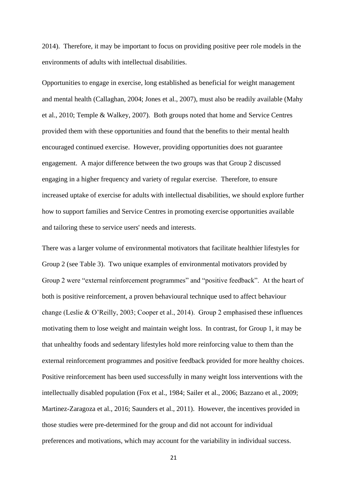2014). Therefore, it may be important to focus on providing positive peer role models in the environments of adults with intellectual disabilities.

Opportunities to engage in exercise, long established as beneficial for weight management and mental health (Callaghan, 2004; Jones et al., 2007), must also be readily available (Mahy et al., 2010; Temple & Walkey, 2007). Both groups noted that home and Service Centres provided them with these opportunities and found that the benefits to their mental health encouraged continued exercise. However, providing opportunities does not guarantee engagement. A major difference between the two groups was that Group 2 discussed engaging in a higher frequency and variety of regular exercise. Therefore, to ensure increased uptake of exercise for adults with intellectual disabilities, we should explore further how to support families and Service Centres in promoting exercise opportunities available and tailoring these to service users' needs and interests.

There was a larger volume of environmental motivators that facilitate healthier lifestyles for Group 2 (see Table 3). Two unique examples of environmental motivators provided by Group 2 were "external reinforcement programmes" and "positive feedback". At the heart of both is positive reinforcement, a proven behavioural technique used to affect behaviour change (Leslie & O'Reilly, 2003; Cooper et al., 2014). Group 2 emphasised these influences motivating them to lose weight and maintain weight loss. In contrast, for Group 1, it may be that unhealthy foods and sedentary lifestyles hold more reinforcing value to them than the external reinforcement programmes and positive feedback provided for more healthy choices. Positive reinforcement has been used successfully in many weight loss interventions with the intellectually disabled population (Fox et al., 1984; Sailer et al., 2006; Bazzano et al., 2009; Martinez-Zaragoza et al., 2016; Saunders et al., 2011). However, the incentives provided in those studies were pre-determined for the group and did not account for individual preferences and motivations, which may account for the variability in individual success.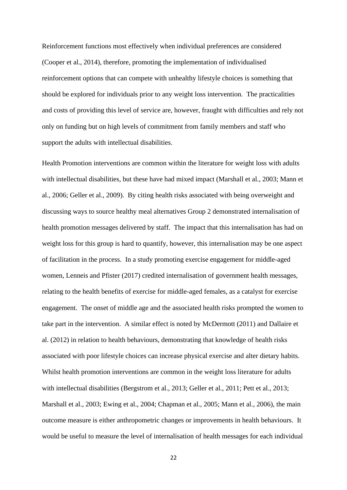Reinforcement functions most effectively when individual preferences are considered (Cooper et al., 2014), therefore, promoting the implementation of individualised reinforcement options that can compete with unhealthy lifestyle choices is something that should be explored for individuals prior to any weight loss intervention. The practicalities and costs of providing this level of service are, however, fraught with difficulties and rely not only on funding but on high levels of commitment from family members and staff who support the adults with intellectual disabilities.

Health Promotion interventions are common within the literature for weight loss with adults with intellectual disabilities, but these have had mixed impact (Marshall et al., 2003; Mann et al., 2006; Geller et al., 2009). By citing health risks associated with being overweight and discussing ways to source healthy meal alternatives Group 2 demonstrated internalisation of health promotion messages delivered by staff. The impact that this internalisation has had on weight loss for this group is hard to quantify, however, this internalisation may be one aspect of facilitation in the process. In a study promoting exercise engagement for middle-aged women, Lenneis and Pfister (2017) credited internalisation of government health messages, relating to the health benefits of exercise for middle-aged females, as a catalyst for exercise engagement. The onset of middle age and the associated health risks prompted the women to take part in the intervention. A similar effect is noted by McDermott (2011) and Dallaire et al. (2012) in relation to health behaviours, demonstrating that knowledge of health risks associated with poor lifestyle choices can increase physical exercise and alter dietary habits. Whilst health promotion interventions are common in the weight loss literature for adults with intellectual disabilities (Bergstrom et al., 2013; Geller et al., 2011; Pett et al., 2013; Marshall et al., 2003; Ewing et al., 2004; Chapman et al., 2005; Mann et al., 2006), the main outcome measure is either anthropometric changes or improvements in health behaviours. It would be useful to measure the level of internalisation of health messages for each individual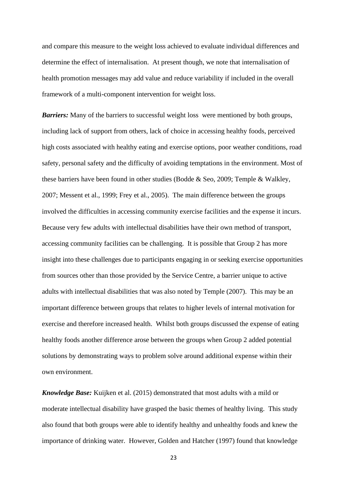and compare this measure to the weight loss achieved to evaluate individual differences and determine the effect of internalisation. At present though, we note that internalisation of health promotion messages may add value and reduce variability if included in the overall framework of a multi-component intervention for weight loss.

*Barriers:* Many of the barriers to successful weight loss were mentioned by both groups, including lack of support from others, lack of choice in accessing healthy foods, perceived high costs associated with healthy eating and exercise options, poor weather conditions, road safety, personal safety and the difficulty of avoiding temptations in the environment. Most of these barriers have been found in other studies (Bodde & Seo, 2009; Temple & Walkley, 2007; Messent et al., 1999; Frey et al., 2005). The main difference between the groups involved the difficulties in accessing community exercise facilities and the expense it incurs. Because very few adults with intellectual disabilities have their own method of transport, accessing community facilities can be challenging. It is possible that Group 2 has more insight into these challenges due to participants engaging in or seeking exercise opportunities from sources other than those provided by the Service Centre, a barrier unique to active adults with intellectual disabilities that was also noted by Temple (2007). This may be an important difference between groups that relates to higher levels of internal motivation for exercise and therefore increased health. Whilst both groups discussed the expense of eating healthy foods another difference arose between the groups when Group 2 added potential solutions by demonstrating ways to problem solve around additional expense within their own environment.

*Knowledge Base:* Kuijken et al. (2015) demonstrated that most adults with a mild or moderate intellectual disability have grasped the basic themes of healthy living. This study also found that both groups were able to identify healthy and unhealthy foods and knew the importance of drinking water. However, Golden and Hatcher (1997) found that knowledge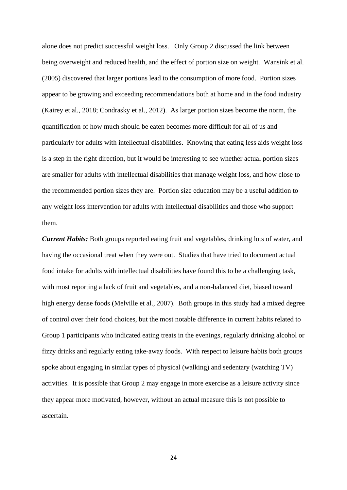alone does not predict successful weight loss. Only Group 2 discussed the link between being overweight and reduced health, and the effect of portion size on weight. Wansink et al. (2005) discovered that larger portions lead to the consumption of more food. Portion sizes appear to be growing and exceeding recommendations both at home and in the food industry (Kairey et al., 2018; Condrasky et al., 2012). As larger portion sizes become the norm, the quantification of how much should be eaten becomes more difficult for all of us and particularly for adults with intellectual disabilities. Knowing that eating less aids weight loss is a step in the right direction, but it would be interesting to see whether actual portion sizes are smaller for adults with intellectual disabilities that manage weight loss, and how close to the recommended portion sizes they are. Portion size education may be a useful addition to any weight loss intervention for adults with intellectual disabilities and those who support them.

*Current Habits:* Both groups reported eating fruit and vegetables, drinking lots of water, and having the occasional treat when they were out. Studies that have tried to document actual food intake for adults with intellectual disabilities have found this to be a challenging task, with most reporting a lack of fruit and vegetables, and a non-balanced diet, biased toward high energy dense foods (Melville et al., 2007). Both groups in this study had a mixed degree of control over their food choices, but the most notable difference in current habits related to Group 1 participants who indicated eating treats in the evenings, regularly drinking alcohol or fizzy drinks and regularly eating take-away foods. With respect to leisure habits both groups spoke about engaging in similar types of physical (walking) and sedentary (watching TV) activities. It is possible that Group 2 may engage in more exercise as a leisure activity since they appear more motivated, however, without an actual measure this is not possible to ascertain.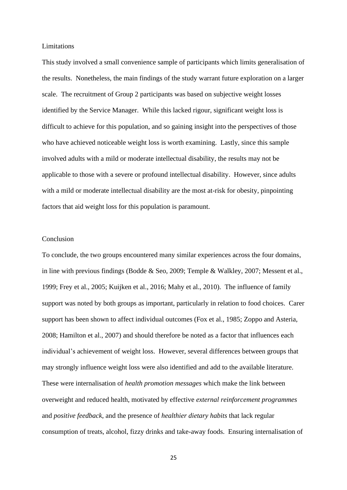#### Limitations

This study involved a small convenience sample of participants which limits generalisation of the results. Nonetheless, the main findings of the study warrant future exploration on a larger scale. The recruitment of Group 2 participants was based on subjective weight losses identified by the Service Manager. While this lacked rigour, significant weight loss is difficult to achieve for this population, and so gaining insight into the perspectives of those who have achieved noticeable weight loss is worth examining. Lastly, since this sample involved adults with a mild or moderate intellectual disability, the results may not be applicable to those with a severe or profound intellectual disability. However, since adults with a mild or moderate intellectual disability are the most at-risk for obesity, pinpointing factors that aid weight loss for this population is paramount.

## Conclusion

To conclude, the two groups encountered many similar experiences across the four domains, in line with previous findings (Bodde & Seo, 2009; Temple & Walkley, 2007; Messent et al., 1999; Frey et al., 2005; Kuijken et al., 2016; Mahy et al., 2010). The influence of family support was noted by both groups as important, particularly in relation to food choices. Carer support has been shown to affect individual outcomes (Fox et al., 1985; Zoppo and Asteria, 2008; Hamilton et al., 2007) and should therefore be noted as a factor that influences each individual's achievement of weight loss. However, several differences between groups that may strongly influence weight loss were also identified and add to the available literature. These were internalisation of *health promotion messages* which make the link between overweight and reduced health, motivated by effective *external reinforcement programmes* and *positive feedback*, and the presence of *healthier dietary habits* that lack regular consumption of treats, alcohol, fizzy drinks and take-away foods. Ensuring internalisation of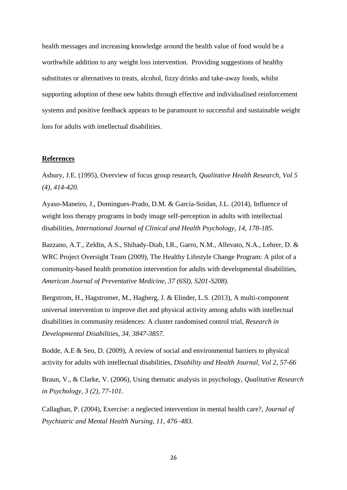health messages and increasing knowledge around the health value of food would be a worthwhile addition to any weight loss intervention. Providing suggestions of healthy substitutes or alternatives to treats, alcohol, fizzy drinks and take-away foods, whilst supporting adoption of these new habits through effective and individualised reinforcement systems and positive feedback appears to be paramount to successful and sustainable weight loss for adults with intellectual disabilities.

#### **References**

Asbury, J.E. (1995), Overview of focus group research, *Qualitative Health Research, Vol 5 (4), 414-420.*

Ayaso-Maneiro, J., Domingues-Prado, D.M. & Garcia-Soidan, J.L. (2014), Influence of weight loss therapy programs in body image self-perception in adults with intellectual disabilities, *International Journal of Clinical and Health Psychology, 14, 178-185.*

Bazzano, A.T., Zeldin, A.S., Shihady-Diab, I.R., Garro, N.M., Allevato, N.A., Lehrer, D. & WRC Project Oversight Team (2009), The Healthy Lifestyle Change Program: A pilot of a community-based health promotion intervention for adults with developmental disabilities, *American Journal of Preventative Medicine, 37 (6SI), S201-S208).*

Bergstrom, H., Hagstromer, M., Hagberg, J. & Elinder, L.S. (2013), A multi-component universal intervention to improve diet and physical activity among adults with intellectual disabilities in community residences: A cluster randomised control trial, *Research in Developmental Disabilities, 34, 3847-3857.*

Bodde, A.E & Seo, D. (2009), A review of social and environmental barriers to physical activity for adults with intellectual disabilities, *Disability and Health Journal, Vol 2, 57-66* 

Braun, V., & Clarke, V. (2006), Using thematic analysis in psychology, *Qualitative Research in Psychology, 3 (2), 77-101.*

Callaghan, P. (2004), Exercise: a neglected intervention in mental health care?, *Journal of Psychiatric and Mental Health Nursing, 11, 476–483.*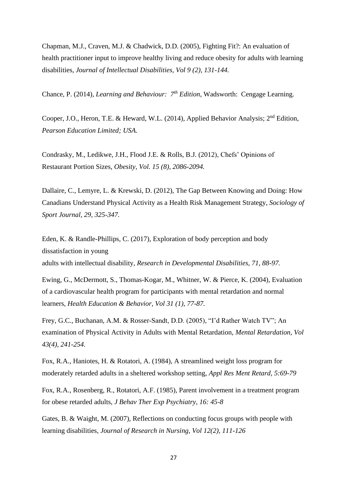Chapman, M.J., Craven, M.J. & Chadwick, D.D. (2005), Fighting Fit?: An evaluation of health practitioner input to improve healthy living and reduce obesity for adults with learning disabilities, *Journal of Intellectual Disabilities, Vol 9 (2), 131-144.*

Chance, P. (2014), *Learning and Behaviour: 7th Edition,* Wadsworth: Cengage Learning.

Cooper, J.O., Heron, T.E. & Heward, W.L. (2014), Applied Behavior Analysis; 2<sup>nd</sup> Edition, *Pearson Education Limited; USA.* 

Condrasky, M., Ledikwe, J.H., Flood J.E. & Rolls, B.J. (2012), Chefs' Opinions of Restaurant Portion Sizes, *Obesity, Vol. 15 (8), 2086-2094.*

Dallaire, C., Lemyre, L. & Krewski, D. (2012), The Gap Between Knowing and Doing: How Canadians Understand Physical Activity as a Health Risk Management Strategy, *Sociology of Sport Journal, 29, 325-347.*

Eden, K. & Randle-Phillips, C. (2017), Exploration of body perception and body dissatisfaction in young

adults with intellectual disability*, Research in Developmental Disabilities, 71, 88-97.*

Ewing, G., McDermott, S., Thomas-Kogar, M., Whitner, W. & Pierce, K. (2004), Evaluation of a cardiovascular health program for participants with mental retardation and normal learners, *Health Education & Behavior, Vol 31 (1), 77-87.*

Frey, G.C., Buchanan, A.M. & Rosser-Sandt, D.D. (2005), "I'd Rather Watch TV"; An examination of Physical Activity in Adults with Mental Retardation, *Mental Retardation, Vol 43(4), 241-254.*

Fox, R.A., Haniotes, H. & Rotatori, A. (1984), A streamlined weight loss program for moderately retarded adults in a sheltered workshop setting, *Appl Res Ment Retard, 5:69-79*

Fox, R.A., Rosenberg, R., Rotatori, A.F. (1985), Parent involvement in a treatment program for obese retarded adults, *J Behav Ther Exp Psychiatry, 16: 45-8*

Gates, B. & Waight, M. (2007), Reflections on conducting focus groups with people with learning disabilities, *Journal of Research in Nursing, Vol 12(2), 111-126*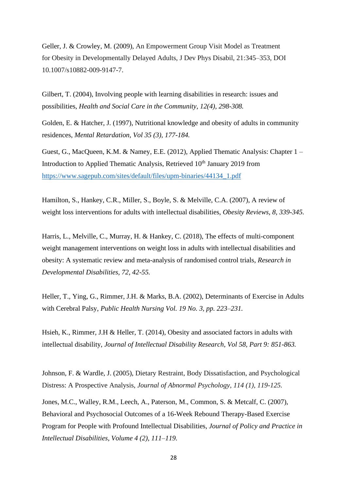Geller, J. & Crowley, M. (2009), An Empowerment Group Visit Model as Treatment for Obesity in Developmentally Delayed Adults, J Dev Phys Disabil, 21:345–353, DOI 10.1007/s10882-009-9147-7.

Gilbert, T. (2004), Involving people with learning disabilities in research: issues and possibilities, *Health and Social Care in the Community, 12(4), 298-308.*

Golden, E. & Hatcher, J. (1997), Nutritional knowledge and obesity of adults in community residences, *Mental Retardation, Vol 35 (3), 177-184.*

Guest, G., MacQueen, K.M. & Namey, E.E. (2012), Applied Thematic Analysis: Chapter 1 – Introduction to Applied Thematic Analysis, Retrieved 10<sup>th</sup> January 2019 from [https://www.sagepub.com/sites/default/files/upm-binaries/44134\\_1.pdf](https://www.sagepub.com/sites/default/files/upm-binaries/44134_1.pdf)

Hamilton, S., Hankey, C.R., Miller, S., Boyle, S. & Melville, C.A. (2007), A review of weight loss interventions for adults with intellectual disabilities, *Obesity Reviews, 8, 339-345.*

Harris, L., Melville, C., Murray, H. & Hankey, C. (2018), The effects of multi-component weight management interventions on weight loss in adults with intellectual disabilities and obesity: A systematic review and meta-analysis of randomised control trials, *Research in Developmental Disabilities, 72, 42-55.*

Heller, T., Ying, G., Rimmer, J.H. & Marks, B.A. (2002), Determinants of Exercise in Adults with Cerebral Palsy, *Public Health Nursing Vol. 19 No. 3, pp. 223–231.*

Hsieh, K., Rimmer, J.H & Heller, T. (2014), Obesity and associated factors in adults with intellectual disability, *Journal of Intellectual Disability Research, Vol 58, Part 9: 851-863.*

Johnson, F. & Wardle, J. (2005), Dietary Restraint, Body Dissatisfaction, and Psychological Distress: A Prospective Analysis, *Journal of Abnormal Psychology, 114 (1), 119-125.*

Jones, M.C., Walley, R.M., Leech, A., Paterson, M., Common, S. & Metcalf, C. (2007), Behavioral and Psychosocial Outcomes of a 16-Week Rebound Therapy-Based Exercise Program for People with Profound Intellectual Disabilities, *Journal of Policy and Practice in Intellectual Disabilities, Volume 4 (2), 111–119.*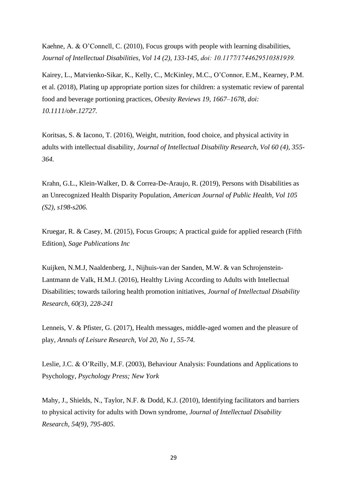Kaehne, A. & O'Connell, C. (2010), Focus groups with people with learning disabilities, *Journal of Intellectual Disabilities, Vol 14 (2), 133-145, doi: 10.1177⁄1744629510381939.*

Kairey, L., Matvienko-Sikar, K., Kelly, C., McKinley, M.C., O'Connor, E.M., Kearney, P.M. et al. (2018), Plating up appropriate portion sizes for children: a systematic review of parental food and beverage portioning practices*, Obesity Reviews 19, 1667–1678, doi: 10.1111/obr.12727.*

Koritsas, S. & Iacono, T. (2016), Weight, nutrition, food choice, and physical activity in adults with intellectual disability, *Journal of Intellectual Disability Research, Vol 60 (4), 355- 364.*

Krahn, G.L., Klein-Walker, D. & Correa-De-Araujo, R. (2019), Persons with Disabilities as an Unrecognized Health Disparity Population, *American Journal of Public Health, Vol 105 (S2), s198-s206.*

Kruegar, R. & Casey, M. (2015), Focus Groups; A practical guide for applied research (Fifth Edition), *Sage Publications Inc*

Kuijken, N.M.J, Naaldenberg, J., Nijhuis-van der Sanden, M.W. & van Schrojenstein-Lantmann de Valk, H.M.J. (2016), Healthy Living According to Adults with Intellectual Disabilities; towards tailoring health promotion initiatives, *Journal of Intellectual Disability Research, 60(3), 228-241*

Lenneis, V. & Pfister, G. (2017), Health messages, middle-aged women and the pleasure of play, *Annals of Leisure Research, Vol 20, No 1, 55-74.*

Leslie, J.C. & O'Reilly, M.F. (2003), Behaviour Analysis: Foundations and Applications to Psychology, *Psychology Press; New York*

Mahy, J., Shields, N., Taylor, N.F. & Dodd, K.J. (2010), Identifying facilitators and barriers to physical activity for adults with Down syndrome, *Journal of Intellectual Disability Research, 54(9), 795-805.*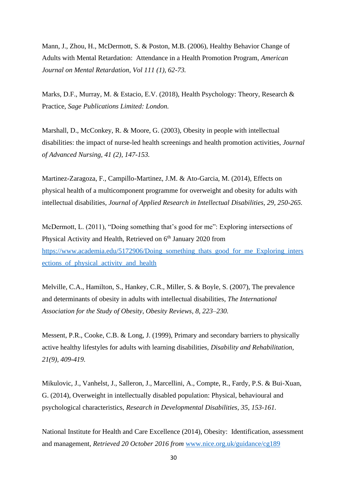Mann, J., Zhou, H., McDermott, S. & Poston, M.B. (2006), Healthy Behavior Change of Adults with Mental Retardation: Attendance in a Health Promotion Program, *American Journal on Mental Retardation, Vol 111 (1), 62-73.*

Marks, D.F., Murray, M. & Estacio, E.V. (2018), Health Psychology: Theory, Research & Practice, *Sage Publications Limited: London.*

Marshall, D., McConkey, R. & Moore, G. (2003), Obesity in people with intellectual disabilities: the impact of nurse-led health screenings and health promotion activities, *Journal of Advanced Nursing, 41 (2), 147-153.*

Martinez-Zaragoza, F., Campillo-Martinez, J.M. & Ato-Garcia, M. (2014), Effects on physical health of a multicomponent programme for overweight and obesity for adults with intellectual disabilities, *Journal of Applied Research in Intellectual Disabilities, 29, 250-265.*

McDermott, L. (2011), "Doing something that's good for me": Exploring intersections of Physical Activity and Health, Retrieved on 6<sup>th</sup> January 2020 from [https://www.academia.edu/5172906/Doing\\_something\\_thats\\_good\\_for\\_me\\_Exploring\\_inters](https://www.academia.edu/5172906/Doing_something_thats_good_for_me_Exploring_intersections_of_physical_activity_and_health) ections of physical activity and health

Melville, C.A., Hamilton, S., Hankey, C.R., Miller, S. & Boyle, S. (2007), The prevalence and determinants of obesity in adults with intellectual disabilities, *The International Association for the Study of Obesity, Obesity Reviews, 8, 223–230.*

Messent, P.R., Cooke, C.B. & Long, J. (1999), Primary and secondary barriers to physically active healthy lifestyles for adults with learning disabilities, *Disability and Rehabilitation, 21(9), 409-419.*

Mikulovic, J., Vanhelst, J., Salleron, J., Marcellini, A., Compte, R., Fardy, P.S. & Bui-Xuan, G. (2014), Overweight in intellectually disabled population: Physical, behavioural and psychological characteristics, *Research in Developmental Disabilities, 35, 153-161.*

National Institute for Health and Care Excellence (2014), Obesity: Identification, assessment and management*, Retrieved 20 October 2016 from* [www.nice.org.uk/guidance/cg189](http://www.nice.org.uk/guidance/cg189)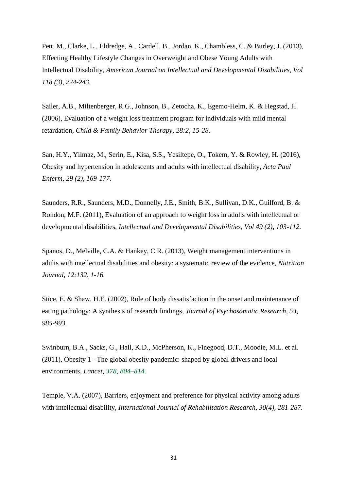Pett, M., Clarke, L., Eldredge, A., Cardell, B., Jordan, K., Chambless, C. & Burley, J. (2013), Effecting Healthy Lifestyle Changes in Overweight and Obese Young Adults with Intellectual Disability, *American Journal on Intellectual and Developmental Disabilities, Vol 118 (3), 224-243.*

Sailer, A.B., Miltenberger, R.G., Johnson, B., Zetocha, K., Egemo-Helm, K. & Hegstad, H. (2006), Evaluation of a weight loss treatment program for individuals with mild mental retardation, *Child & Family Behavior Therapy, 28:2, 15-28.*

San, H.Y., Yilmaz, M., Serin, E., Kisa, S.S., Yesiltepe, O., Tokem, Y. & Rowley, H. (2016), Obesity and hypertension in adolescents and adults with intellectual disability, *Acta Paul Enferm, 29 (2), 169-177.*

Saunders, R.R., Saunders, M.D., Donnelly, J.E., Smith, B.K., Sullivan, D.K., Guilford, B. & Rondon, M.F. (2011), Evaluation of an approach to weight loss in adults with intellectual or developmental disabilities, *Intellectual and Developmental Disabilities, Vol 49 (2), 103-112.*

Spanos, D., Melville, C.A. & Hankey, C.R. (2013), Weight management interventions in adults with intellectual disabilities and obesity: a systematic review of the evidence, *Nutrition Journal, 12:132, 1-16.*

Stice, E. & Shaw, H.E. (2002), Role of body dissatisfaction in the onset and maintenance of eating pathology: A synthesis of research findings, *Journal of Psychosomatic Research, 53, 985-993.*

Swinburn, B.A., Sacks, G., Hall, K.D., McPherson, K., Finegood, D.T., Moodie, M.L. et al. (2011), Obesity 1 - The global obesity pandemic: shaped by global drivers and local environments, *Lancet, 378, 804–814.*

Temple, V.A. (2007), Barriers, enjoyment and preference for physical activity among adults with intellectual disability, *International Journal of Rehabilitation Research, 30(4), 281-287.*